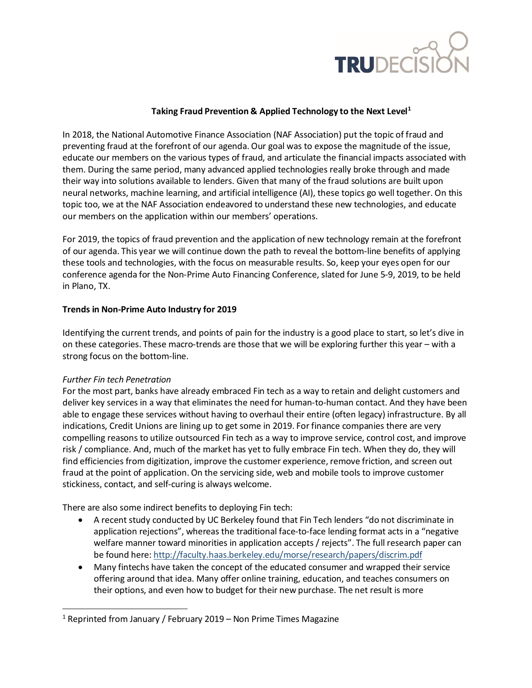

## **Taking Fraud Prevention & Applied Technology to the Next Level[1](#page-0-0)**

In 2018, the National Automotive Finance Association (NAF Association) put the topic of fraud and preventing fraud at the forefront of our agenda. Our goal was to expose the magnitude of the issue, educate our members on the various types of fraud, and articulate the financial impacts associated with them. During the same period, many advanced applied technologies really broke through and made their way into solutions available to lenders. Given that many of the fraud solutions are built upon neural networks, machine learning, and artificial intelligence (AI), these topics go well together. On this topic too, we at the NAF Association endeavored to understand these new technologies, and educate our members on the application within our members' operations.

For 2019, the topics of fraud prevention and the application of new technology remain at the forefront of our agenda. This year we will continue down the path to reveal the bottom-line benefits of applying these tools and technologies, with the focus on measurable results. So, keep your eyes open for our conference agenda for the Non-Prime Auto Financing Conference, slated for June 5-9, 2019, to be held in Plano, TX.

### **Trends in Non-Prime Auto Industry for 2019**

Identifying the current trends, and points of pain for the industry is a good place to start, so let's dive in on these categories. These macro-trends are those that we will be exploring further this year – with a strong focus on the bottom-line.

### *Further Fin tech Penetration*

For the most part, banks have already embraced Fin tech as a way to retain and delight customers and deliver key services in a way that eliminates the need for human-to-human contact. And they have been able to engage these services without having to overhaul their entire (often legacy) infrastructure. By all indications, Credit Unions are lining up to get some in 2019. For finance companies there are very compelling reasons to utilize outsourced Fin tech as a way to improve service, control cost, and improve risk / compliance. And, much of the market has yet to fully embrace Fin tech. When they do, they will find efficiencies from digitization, improve the customer experience, remove friction, and screen out fraud at the point of application. On the servicing side, web and mobile tools to improve customer stickiness, contact, and self-curing is always welcome.

There are also some indirect benefits to deploying Fin tech:

- A recent study conducted by UC Berkeley found that Fin Tech lenders "do not discriminate in application rejections", whereas the traditional face-to-face lending format acts in a "negative welfare manner toward minorities in application accepts / rejects". The full research paper can be found here[: http://faculty.haas.berkeley.edu/morse/research/papers/discrim.pdf](http://faculty.haas.berkeley.edu/morse/research/papers/discrim.pdf)
- Many fintechs have taken the concept of the educated consumer and wrapped their service offering around that idea. Many offer online training, education, and teaches consumers on their options, and even how to budget for their new purchase. The net result is more

<span id="page-0-0"></span><sup>&</sup>lt;sup>1</sup> Reprinted from January / February 2019 – Non Prime Times Magazine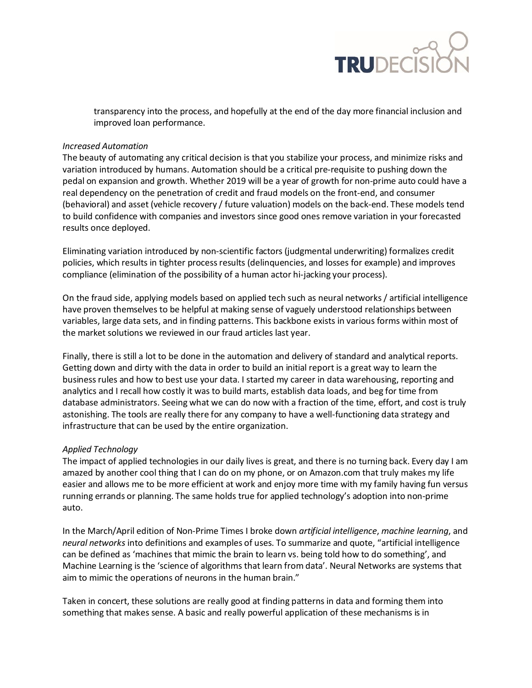

transparency into the process, and hopefully at the end of the day more financial inclusion and improved loan performance.

### *Increased Automation*

The beauty of automating any critical decision is that you stabilize your process, and minimize risks and variation introduced by humans. Automation should be a critical pre-requisite to pushing down the pedal on expansion and growth. Whether 2019 will be a year of growth for non-prime auto could have a real dependency on the penetration of credit and fraud models on the front-end, and consumer (behavioral) and asset (vehicle recovery / future valuation) models on the back-end. These models tend to build confidence with companies and investors since good ones remove variation in your forecasted results once deployed.

Eliminating variation introduced by non-scientific factors (judgmental underwriting) formalizes credit policies, which results in tighter process results (delinquencies, and losses for example) and improves compliance (elimination of the possibility of a human actor hi-jacking your process).

On the fraud side, applying models based on applied tech such as neural networks/ artificial intelligence have proven themselves to be helpful at making sense of vaguely understood relationships between variables, large data sets, and in finding patterns. This backbone exists in various forms within most of the market solutions we reviewed in our fraud articles last year.

Finally, there is still a lot to be done in the automation and delivery of standard and analytical reports. Getting down and dirty with the data in order to build an initial report is a great way to learn the business rules and how to best use your data. I started my career in data warehousing, reporting and analytics and I recall how costly it was to build marts, establish data loads, and beg for time from database administrators. Seeing what we can do now with a fraction of the time, effort, and cost is truly astonishing. The tools are really there for any company to have a well-functioning data strategy and infrastructure that can be used by the entire organization.

### *Applied Technology*

The impact of applied technologies in our daily lives is great, and there is no turning back. Every day I am amazed by another cool thing that I can do on my phone, or on Amazon.com that truly makes my life easier and allows me to be more efficient at work and enjoy more time with my family having fun versus running errands or planning. The same holds true for applied technology's adoption into non-prime auto.

In the March/April edition of Non-Prime Times I broke down *artificial intelligence*, *machine learning*, and *neural networks* into definitions and examples of uses. To summarize and quote, "artificial intelligence can be defined as 'machines that mimic the brain to learn vs. being told how to do something', and Machine Learning is the 'science of algorithms that learn from data'. Neural Networks are systems that aim to mimic the operations of neurons in the human brain."

Taken in concert, these solutions are really good at finding patterns in data and forming them into something that makes sense. A basic and really powerful application of these mechanisms is in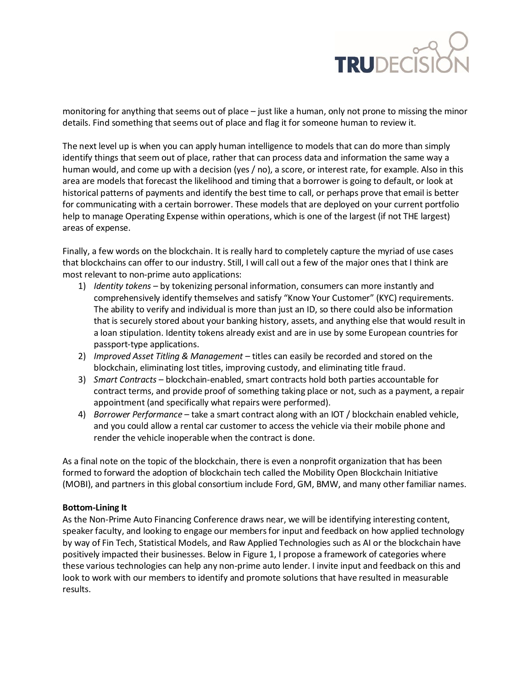## **TRUDECISI**

monitoring for anything that seems out of place – just like a human, only not prone to missing the minor details. Find something that seems out of place and flag it for someone human to review it.

The next level up is when you can apply human intelligence to models that can do more than simply identify things that seem out of place, rather that can process data and information the same way a human would, and come up with a decision (yes / no), a score, or interest rate, for example. Also in this area are models that forecast the likelihood and timing that a borrower is going to default, or look at historical patterns of payments and identify the best time to call, or perhaps prove that email is better for communicating with a certain borrower. These models that are deployed on your current portfolio help to manage Operating Expense within operations, which is one of the largest (if not THE largest) areas of expense.

Finally, a few words on the blockchain. It is really hard to completely capture the myriad of use cases that blockchains can offer to our industry. Still, I will call out a few of the major ones that I think are most relevant to non-prime auto applications:

- 1) *Identity tokens* by tokenizing personal information, consumers can more instantly and comprehensively identify themselves and satisfy "Know Your Customer" (KYC) requirements. The ability to verify and individual is more than just an ID, so there could also be information that is securely stored about your banking history, assets, and anything else that would result in a loan stipulation. Identity tokens already exist and are in use by some European countries for passport-type applications.
- 2) *Improved Asset Titling & Management* titles can easily be recorded and stored on the blockchain, eliminating lost titles, improving custody, and eliminating title fraud.
- 3) *Smart Contracts* blockchain-enabled, smart contracts hold both parties accountable for contract terms, and provide proof of something taking place or not, such as a payment, a repair appointment (and specifically what repairs were performed).
- 4) *Borrower Performance*  take a smart contract along with an IOT / blockchain enabled vehicle, and you could allow a rental car customer to access the vehicle via their mobile phone and render the vehicle inoperable when the contract is done.

As a final note on the topic of the blockchain, there is even a nonprofit organization that has been formed to forward the adoption of blockchain tech called the Mobility Open Blockchain Initiative (MOBI), and partners in this global consortium include Ford, GM, BMW, and many other familiar names.

### **Bottom-Lining It**

As the Non-Prime Auto Financing Conference draws near, we will be identifying interesting content, speaker faculty, and looking to engage our members for input and feedback on how applied technology by way of Fin Tech, Statistical Models, and Raw Applied Technologies such as AI or the blockchain have positively impacted their businesses. Below in Figure 1, I propose a framework of categories where these various technologies can help any non-prime auto lender. I invite input and feedback on this and look to work with our members to identify and promote solutions that have resulted in measurable results.